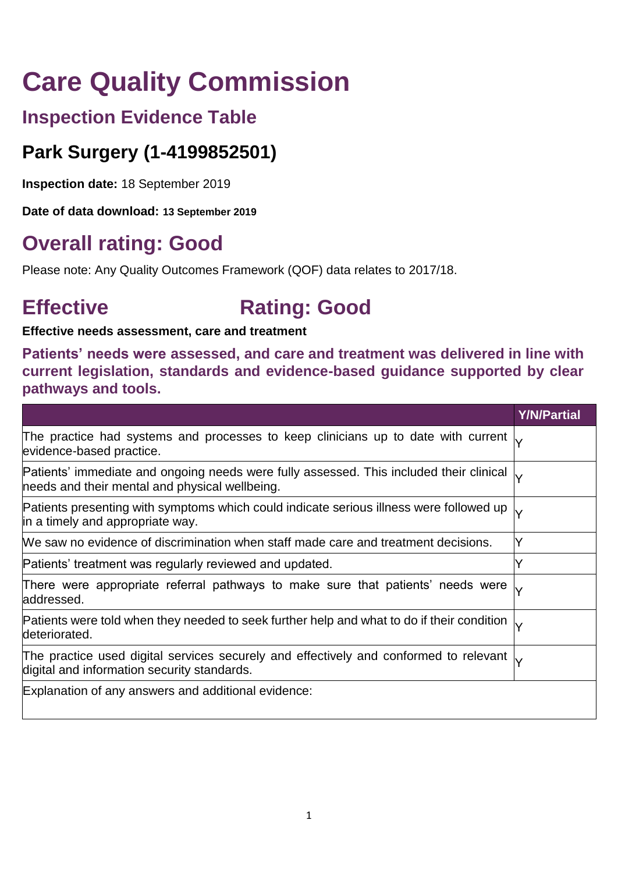# **Care Quality Commission**

# **Inspection Evidence Table**

# **Park Surgery (1-4199852501)**

**Inspection date:** 18 September 2019

**Date of data download: 13 September 2019**

# **Overall rating: Good**

Please note: Any Quality Outcomes Framework (QOF) data relates to 2017/18.

# **Effective Rating: Good**

## **Effective needs assessment, care and treatment**

**Patients' needs were assessed, and care and treatment was delivered in line with current legislation, standards and evidence-based guidance supported by clear pathways and tools.**

|                                                                                                                                                        | <b>Y/N/Partial</b> |
|--------------------------------------------------------------------------------------------------------------------------------------------------------|--------------------|
| The practice had systems and processes to keep clinicians up to date with current $\downarrow$<br>evidence-based practice.                             |                    |
| Patients' immediate and ongoing needs were fully assessed. This included their clinical $\downarrow$<br>needs and their mental and physical wellbeing. |                    |
| Patients presenting with symptoms which could indicate serious illness were followed up<br>in a timely and appropriate way.                            |                    |
| We saw no evidence of discrimination when staff made care and treatment decisions.                                                                     |                    |
| Patients' treatment was regularly reviewed and updated.                                                                                                |                    |
| There were appropriate referral pathways to make sure that patients' needs were<br>addressed.                                                          |                    |
| Patients were told when they needed to seek further help and what to do if their condition<br>deteriorated.                                            |                    |
| The practice used digital services securely and effectively and conformed to relevant $\downarrow$<br>digital and information security standards.      |                    |
| Explanation of any answers and additional evidence:                                                                                                    |                    |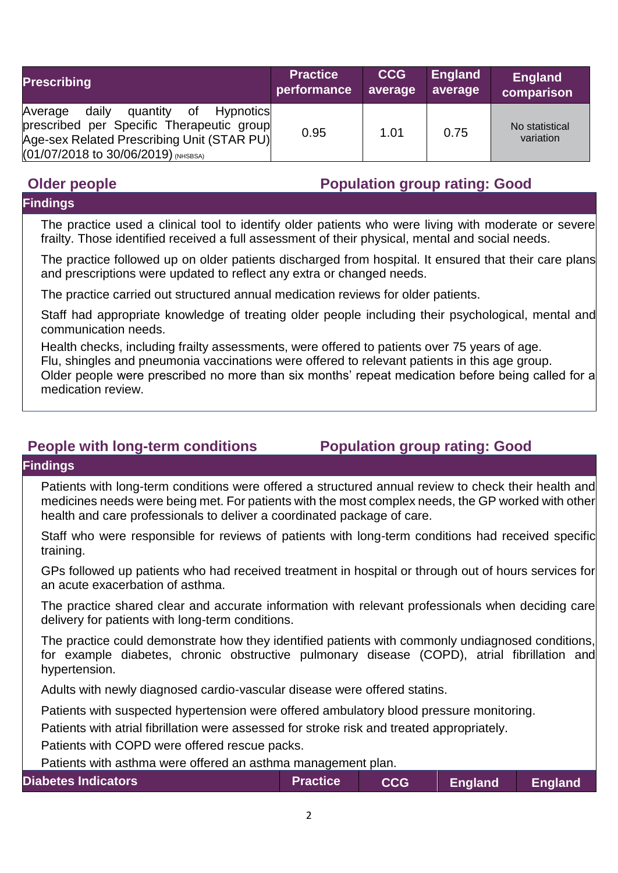| <b>Prescribing</b>                                                                                                                                                                  | <b>Practice</b> | <b>CCG</b> | England | <b>England</b>              |
|-------------------------------------------------------------------------------------------------------------------------------------------------------------------------------------|-----------------|------------|---------|-----------------------------|
|                                                                                                                                                                                     | performance     | average    | average | comparison                  |
| daily<br>of<br>Hypnotics<br>Average<br>quantity<br>prescribed per Specific Therapeutic group<br>Age-sex Related Prescribing Unit (STAR PU)<br>$(01/07/2018$ to 30/06/2019) (NHSBSA) | 0.95            | 1.01       | 0.75    | No statistical<br>variation |

# **Older people Population group rating: Good**

### **Findings**

The practice used a clinical tool to identify older patients who were living with moderate or severe frailty. Those identified received a full assessment of their physical, mental and social needs.

The practice followed up on older patients discharged from hospital. It ensured that their care plans and prescriptions were updated to reflect any extra or changed needs.

The practice carried out structured annual medication reviews for older patients.

Staff had appropriate knowledge of treating older people including their psychological, mental and communication needs.

Health checks, including frailty assessments, were offered to patients over 75 years of age.

Flu, shingles and pneumonia vaccinations were offered to relevant patients in this age group.

Older people were prescribed no more than six months' repeat medication before being called for a medication review.

## **People with long-term conditions Population group rating: Good**

#### **Findings**

Patients with long-term conditions were offered a structured annual review to check their health and medicines needs were being met. For patients with the most complex needs, the GP worked with other health and care professionals to deliver a coordinated package of care.

Staff who were responsible for reviews of patients with long-term conditions had received specific training.

GPs followed up patients who had received treatment in hospital or through out of hours services for an acute exacerbation of asthma.

The practice shared clear and accurate information with relevant professionals when deciding care delivery for patients with long-term conditions.

The practice could demonstrate how they identified patients with commonly undiagnosed conditions, for example diabetes, chronic obstructive pulmonary disease (COPD), atrial fibrillation and hypertension.

Adults with newly diagnosed cardio-vascular disease were offered statins.

Patients with suspected hypertension were offered ambulatory blood pressure monitoring.

Patients with atrial fibrillation were assessed for stroke risk and treated appropriately.

Patients with COPD were offered rescue packs.

Patients with asthma were offered an asthma management plan.

| <b>Diabetes Indicators</b> | <b>Practice</b> | <b>CCG</b> | <b>England</b> England |  |
|----------------------------|-----------------|------------|------------------------|--|
|----------------------------|-----------------|------------|------------------------|--|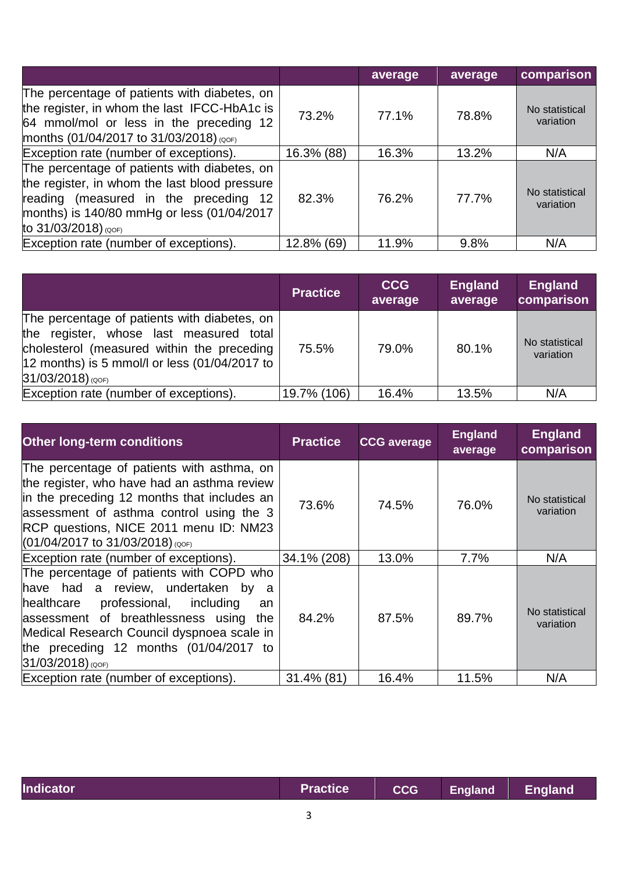|                                                                                                                                                                                                                 |            | average | average | comparison                  |
|-----------------------------------------------------------------------------------------------------------------------------------------------------------------------------------------------------------------|------------|---------|---------|-----------------------------|
| The percentage of patients with diabetes, on<br>the register, in whom the last IFCC-HbA1c is<br>64 mmol/mol or less in the preceding 12<br>months (01/04/2017 to 31/03/2018) (QOF)                              | 73.2%      | 77.1%   | 78.8%   | No statistical<br>variation |
| Exception rate (number of exceptions).                                                                                                                                                                          | 16.3% (88) | 16.3%   | 13.2%   | N/A                         |
| The percentage of patients with diabetes, on<br>the register, in whom the last blood pressure<br>reading (measured in the preceding 12<br>months) is 140/80 mmHg or less (01/04/2017<br>to $31/03/2018$ ) (QOF) | 82.3%      | 76.2%   | 77.7%   | No statistical<br>variation |
| Exception rate (number of exceptions).                                                                                                                                                                          | 12.8% (69) | 11.9%   | 9.8%    | N/A                         |

|                                                                                                                                                                                                                   | <b>Practice</b> | <b>CCG</b><br>average | <b>England</b><br>average | <b>England</b><br>comparison |
|-------------------------------------------------------------------------------------------------------------------------------------------------------------------------------------------------------------------|-----------------|-----------------------|---------------------------|------------------------------|
| The percentage of patients with diabetes, on<br>the register, whose last measured total<br>cholesterol (measured within the preceding<br>$12$ months) is 5 mmol/l or less $(01/04/2017$ to<br>$31/03/2018)$ (QOF) | 75.5%           | 79.0%                 | 80.1%                     | No statistical<br>variation  |
| Exception rate (number of exceptions).                                                                                                                                                                            | 19.7% (106)     | 16.4%                 | 13.5%                     | N/A                          |

| <b>Other long-term conditions</b>                                                                                                                                                                                                                                                                | <b>Practice</b> | <b>CCG</b> average | <b>England</b><br>average | <b>England</b><br>comparison |
|--------------------------------------------------------------------------------------------------------------------------------------------------------------------------------------------------------------------------------------------------------------------------------------------------|-----------------|--------------------|---------------------------|------------------------------|
| The percentage of patients with asthma, on<br>the register, who have had an asthma review<br>in the preceding 12 months that includes an<br>assessment of asthma control using the 3<br>RCP questions, NICE 2011 menu ID: NM23<br>$(01/04/2017$ to 31/03/2018) (QOF)                             | 73.6%           | 74.5%              | 76.0%                     | No statistical<br>variation  |
| Exception rate (number of exceptions).                                                                                                                                                                                                                                                           | 34.1% (208)     | 13.0%              | 7.7%                      | N/A                          |
| The percentage of patients with COPD who<br>have had a review, undertaken by a<br>professional,<br>healthcare<br>including<br>an<br>assessment of breathlessness using<br>the<br>Medical Research Council dyspnoea scale in<br>the preceding 12 months $(01/04/2017)$ to<br>$31/03/2018$ ) (QOF) | 84.2%           | 87.5%              | 89.7%                     | No statistical<br>variation  |
| Exception rate (number of exceptions).                                                                                                                                                                                                                                                           | 31.4% (81)      | 16.4%              | 11.5%                     | N/A                          |

| <b>Indicator</b> | <b>Practice</b> | CCG | England | England |
|------------------|-----------------|-----|---------|---------|
|                  |                 |     |         |         |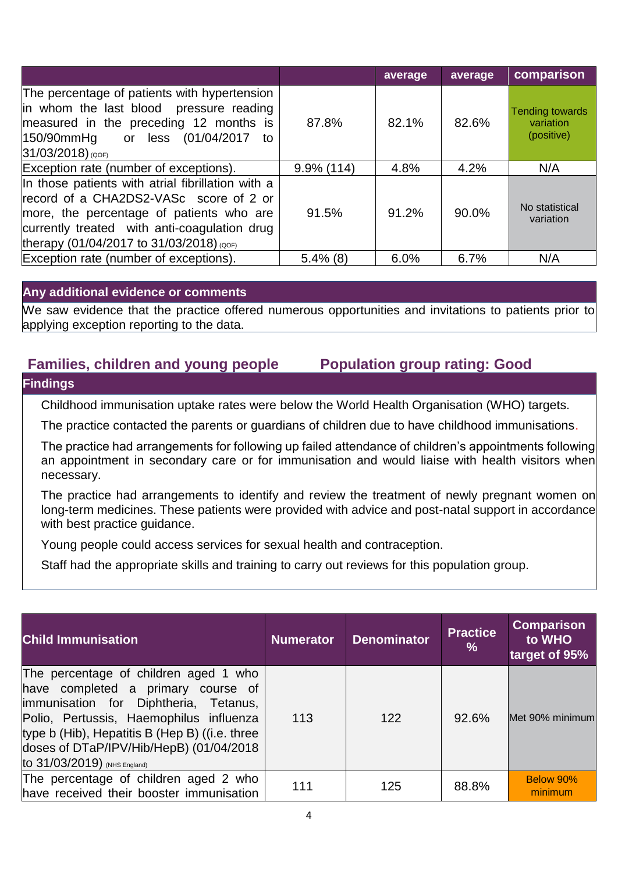|                                                                                                                                                                                                                                     |               | average | average | comparison                                        |
|-------------------------------------------------------------------------------------------------------------------------------------------------------------------------------------------------------------------------------------|---------------|---------|---------|---------------------------------------------------|
| The percentage of patients with hypertension<br>in whom the last blood pressure reading<br>measured in the preceding 12 months is<br> 150/90mmHg<br>less (01/04/2017)<br>or<br>to<br>$31/03/2018$ ) (QOF)                           | 87.8%         | 82.1%   | 82.6%   | <b>Tending towards</b><br>variation<br>(positive) |
| Exception rate (number of exceptions).                                                                                                                                                                                              | $9.9\%$ (114) | 4.8%    | 4.2%    | N/A                                               |
| In those patients with atrial fibrillation with a<br>record of a CHA2DS2-VASc score of 2 or<br>more, the percentage of patients who are<br>currently treated with anti-coagulation drug<br>therapy (01/04/2017 to 31/03/2018) (QOF) | 91.5%         | 91.2%   | 90.0%   | No statistical<br>variation                       |
| Exception rate (number of exceptions).                                                                                                                                                                                              | $5.4\%$ (8)   | 6.0%    | 6.7%    | N/A                                               |

#### **Any additional evidence or comments**

We saw evidence that the practice offered numerous opportunities and invitations to patients prior to applying exception reporting to the data.

## **Families, children and young people Population group rating: Good**

#### **Findings**

Childhood immunisation uptake rates were below the World Health Organisation (WHO) targets.

The practice contacted the parents or guardians of children due to have childhood immunisations.

The practice had arrangements for following up failed attendance of children's appointments following an appointment in secondary care or for immunisation and would liaise with health visitors when necessary.

The practice had arrangements to identify and review the treatment of newly pregnant women on long-term medicines. These patients were provided with advice and post-natal support in accordance with best practice guidance.

Young people could access services for sexual health and contraception.

Staff had the appropriate skills and training to carry out reviews for this population group.

| <b>Child Immunisation</b>                                                                                                                                                                                                                                                                     | <b>Numerator</b> | <b>Denominator</b> | <b>Practice</b><br>$\frac{0}{0}$ | <b>Comparison</b><br>to WHO<br>target of 95% |
|-----------------------------------------------------------------------------------------------------------------------------------------------------------------------------------------------------------------------------------------------------------------------------------------------|------------------|--------------------|----------------------------------|----------------------------------------------|
| The percentage of children aged 1 who<br>have completed a primary course of<br>limmunisation for Diphtheria, Tetanus,<br>Polio, Pertussis, Haemophilus influenza<br>type b (Hib), Hepatitis B (Hep B) ((i.e. three<br>doses of DTaP/IPV/Hib/HepB) (01/04/2018<br>to 31/03/2019) (NHS England) | 113              | 122                | 92.6%                            | Met 90% minimum                              |
| The percentage of children aged 2 who<br>have received their booster immunisation                                                                                                                                                                                                             | 111              | 125                | 88.8%                            | Below 90%<br>minimum                         |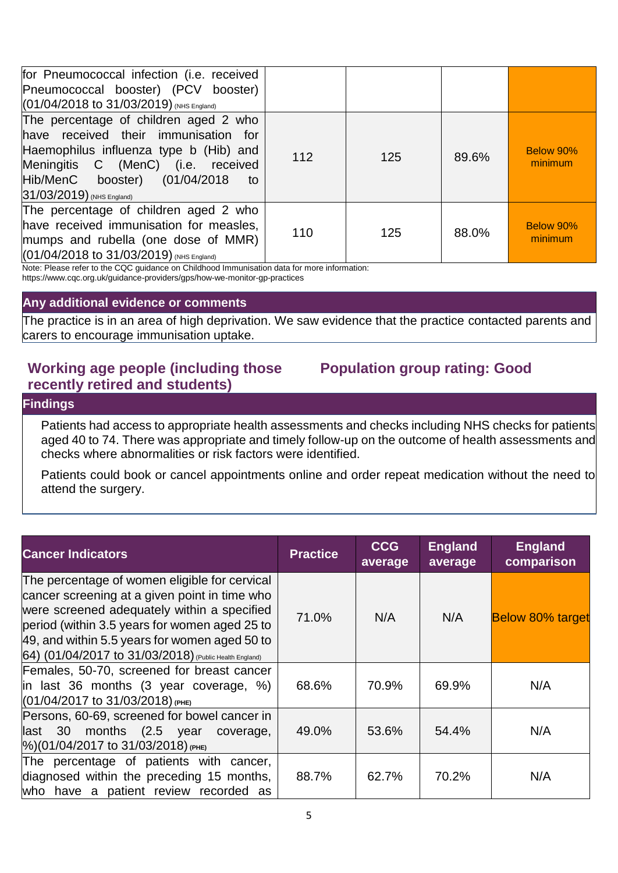| for Pneumococcal infection (i.e. received<br>Pneumococcal booster) (PCV booster)<br>$(01/04/2018$ to $31/03/2019)$ (NHS England)                                                                                                  |     |     |       |                      |
|-----------------------------------------------------------------------------------------------------------------------------------------------------------------------------------------------------------------------------------|-----|-----|-------|----------------------|
| The percentage of children aged 2 who<br>have received their immunisation for<br>Haemophilus influenza type b (Hib) and<br>Meningitis C (MenC) (i.e. received<br>Hib/MenC booster) (01/04/2018<br>to<br>31/03/2019) (NHS England) | 112 | 125 | 89.6% | Below 90%<br>minimum |
| The percentage of children aged 2 who<br>have received immunisation for measles,<br>mumps and rubella (one dose of MMR)<br>(01/04/2018 to 31/03/2019) (NHS England)                                                               | 110 | 125 | 88.0% | Below 90%<br>minimum |

Note: Please refer to the CQC guidance on Childhood Immunisation data for more information:

https://www.cqc.org.uk/guidance-providers/gps/how-we-monitor-gp-practices

#### **Any additional evidence or comments**

The practice is in an area of high deprivation. We saw evidence that the practice contacted parents and carers to encourage immunisation uptake.

# **Working age people (including those recently retired and students)**

# **Population group rating: Good**

#### **Findings**

Patients had access to appropriate health assessments and checks including NHS checks for patients aged 40 to 74. There was appropriate and timely follow-up on the outcome of health assessments and checks where abnormalities or risk factors were identified.

Patients could book or cancel appointments online and order repeat medication without the need to attend the surgery.

| <b>Cancer Indicators</b>                                                                                                                                                                                                                                                                                  | <b>Practice</b> | <b>CCG</b><br>average | <b>England</b><br>average | <b>England</b><br>comparison |
|-----------------------------------------------------------------------------------------------------------------------------------------------------------------------------------------------------------------------------------------------------------------------------------------------------------|-----------------|-----------------------|---------------------------|------------------------------|
| The percentage of women eligible for cervical<br>cancer screening at a given point in time who<br>were screened adequately within a specified<br>period (within 3.5 years for women aged 25 to<br>49, and within 5.5 years for women aged 50 to<br>64) (01/04/2017 to 31/03/2018) (Public Health England) | 71.0%           | N/A                   | N/A                       | <b>Below 80% target</b>      |
| Females, 50-70, screened for breast cancer<br>lin last 36 months (3 year coverage, %)<br>$(01/04/2017$ to 31/03/2018) (PHE)                                                                                                                                                                               | 68.6%           | 70.9%                 | 69.9%                     | N/A                          |
| Persons, 60-69, screened for bowel cancer in<br>$\ $ ast 30 months (2.5 year coverage,<br>$\frac{1}{6}$ (01/04/2017 to 31/03/2018) (PHE)                                                                                                                                                                  | 49.0%           | 53.6%                 | 54.4%                     | N/A                          |
| The percentage of patients with cancer,<br>diagnosed within the preceding 15 months,<br>who have a patient review recorded as                                                                                                                                                                             | 88.7%           | 62.7%                 | 70.2%                     | N/A                          |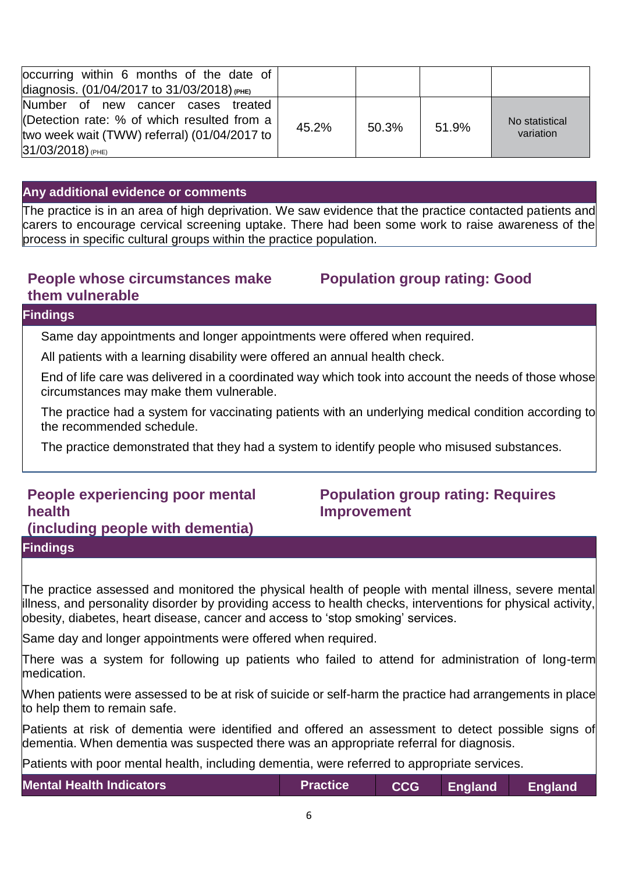| occurring within 6 months of the date of<br>diagnosis. (01/04/2017 to 31/03/2018) (PHE)                                                                |       |       |       |                             |
|--------------------------------------------------------------------------------------------------------------------------------------------------------|-------|-------|-------|-----------------------------|
| Number of new cancer cases treated<br>(Detection rate: % of which resulted from a<br>two week wait (TWW) referral) (01/04/2017 to<br>31/03/2018) (PHE) | 45.2% | 50.3% | 51.9% | No statistical<br>variation |

#### **Any additional evidence or comments**

The practice is in an area of high deprivation. We saw evidence that the practice contacted patients and carers to encourage cervical screening uptake. There had been some work to raise awareness of the process in specific cultural groups within the practice population.

### **People whose circumstances make them vulnerable**

# **Population group rating: Good**

#### **Findings**

Same day appointments and longer appointments were offered when required.

All patients with a learning disability were offered an annual health check.

End of life care was delivered in a coordinated way which took into account the needs of those whose circumstances may make them vulnerable.

The practice had a system for vaccinating patients with an underlying medical condition according to the recommended schedule.

The practice demonstrated that they had a system to identify people who misused substances.

# **People experiencing poor mental health (including people with dementia) Findings**

# **Population group rating: Requires Improvement**

The practice assessed and monitored the physical health of people with mental illness, severe mental illness, and personality disorder by providing access to health checks, interventions for physical activity, obesity, diabetes, heart disease, cancer and access to 'stop smoking' services.

Same day and longer appointments were offered when required.

There was a system for following up patients who failed to attend for administration of long-term medication.

When patients were assessed to be at risk of suicide or self-harm the practice had arrangements in place to help them to remain safe.

Patients at risk of dementia were identified and offered an assessment to detect possible signs of dementia. When dementia was suspected there was an appropriate referral for diagnosis.

Patients with poor mental health, including dementia, were referred to appropriate services.

**Mental Health Indicators Practice CCG England England**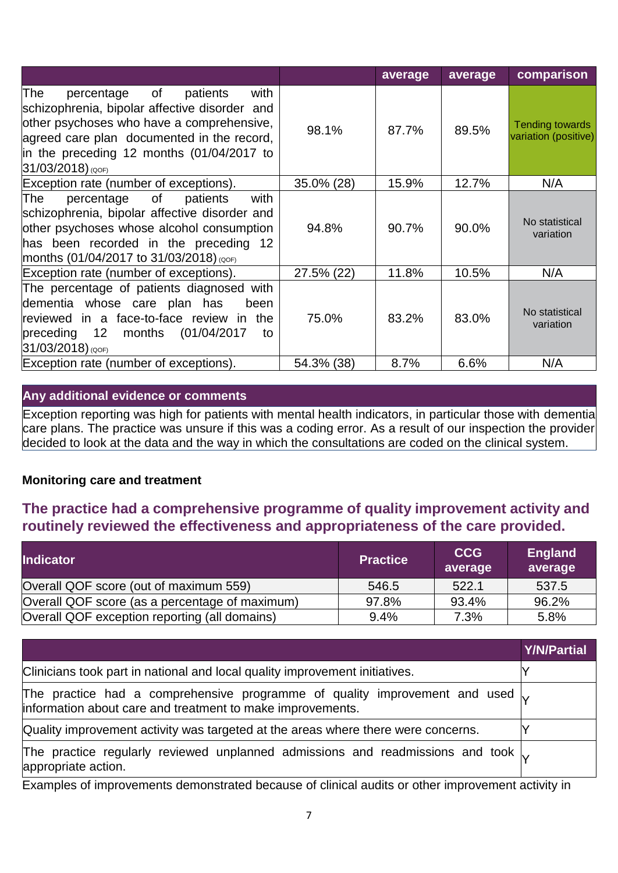|                                                                                                                                                                                                                                                                     |            | average | average | comparison                                     |
|---------------------------------------------------------------------------------------------------------------------------------------------------------------------------------------------------------------------------------------------------------------------|------------|---------|---------|------------------------------------------------|
| $\circ$ f<br>with<br>The<br>percentage<br>patients<br>schizophrenia, bipolar affective disorder and<br>other psychoses who have a comprehensive,<br>agreed care plan documented in the record,<br>in the preceding 12 months (01/04/2017 to<br>$31/03/2018$ ) (QOF) | 98.1%      | 87.7%   | 89.5%   | <b>Tending towards</b><br>variation (positive) |
| Exception rate (number of exceptions).                                                                                                                                                                                                                              | 35.0% (28) | 15.9%   | 12.7%   | N/A                                            |
| with<br>of<br>The<br>percentage<br>patients<br>schizophrenia, bipolar affective disorder and<br>other psychoses whose alcohol consumption<br>has been recorded in the preceding 12<br>months (01/04/2017 to 31/03/2018) (QOF)                                       | 94.8%      | 90.7%   | 90.0%   | No statistical<br>variation                    |
| Exception rate (number of exceptions).                                                                                                                                                                                                                              | 27.5% (22) | 11.8%   | 10.5%   | N/A                                            |
| The percentage of patients diagnosed with<br>dementia whose care plan has<br>been<br>reviewed in a face-to-face review in the<br>preceding $12$ months $(01/04/2017)$<br>to<br>$31/03/2018)$ (QOF)                                                                  | 75.0%      | 83.2%   | 83.0%   | No statistical<br>variation                    |
| Exception rate (number of exceptions).                                                                                                                                                                                                                              | 54.3% (38) | 8.7%    | 6.6%    | N/A                                            |

#### **Any additional evidence or comments**

Exception reporting was high for patients with mental health indicators, in particular those with dementia care plans. The practice was unsure if this was a coding error. As a result of our inspection the provider decided to look at the data and the way in which the consultations are coded on the clinical system.

#### **Monitoring care and treatment**

# **The practice had a comprehensive programme of quality improvement activity and routinely reviewed the effectiveness and appropriateness of the care provided.**

| <b>Indicator</b>                               | <b>Practice</b> | <b>CCG</b><br>average | <b>England</b><br>average |
|------------------------------------------------|-----------------|-----------------------|---------------------------|
| Overall QOF score (out of maximum 559)         | 546.5           | 522.1                 | 537.5                     |
| Overall QOF score (as a percentage of maximum) | 97.8%           | 93.4%                 | 96.2%                     |
| Overall QOF exception reporting (all domains)  | 9.4%            | 7.3%                  | 5.8%                      |

|                                                                                                                                                     | <b>Y/N/Partial</b> |
|-----------------------------------------------------------------------------------------------------------------------------------------------------|--------------------|
| Clinicians took part in national and local quality improvement initiatives.                                                                         |                    |
| The practice had a comprehensive programme of quality improvement and used $\sqrt{ }$<br>information about care and treatment to make improvements. |                    |
| Quality improvement activity was targeted at the areas where there were concerns.                                                                   |                    |
| The practice regularly reviewed unplanned admissions and readmissions and took $\sim$<br>appropriate action.                                        |                    |

Examples of improvements demonstrated because of clinical audits or other improvement activity in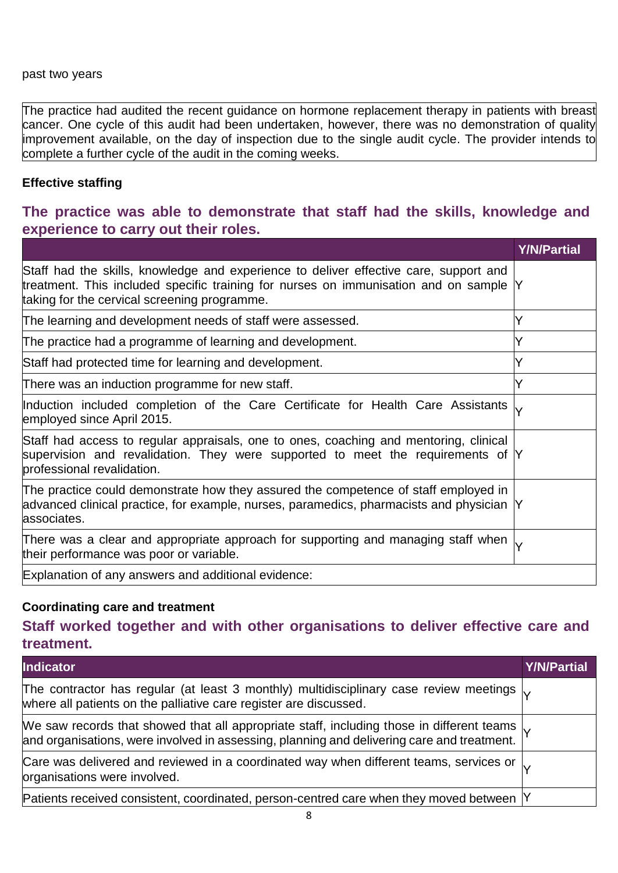#### past two years

The practice had audited the recent guidance on hormone replacement therapy in patients with breast cancer. One cycle of this audit had been undertaken, however, there was no demonstration of quality improvement available, on the day of inspection due to the single audit cycle. The provider intends to complete a further cycle of the audit in the coming weeks.

#### **Effective staffing**

# **The practice was able to demonstrate that staff had the skills, knowledge and experience to carry out their roles.**

|                                                                                                                                                                                                                                | <b>Y/N/Partial</b> |
|--------------------------------------------------------------------------------------------------------------------------------------------------------------------------------------------------------------------------------|--------------------|
| Staff had the skills, knowledge and experience to deliver effective care, support and<br>treatment. This included specific training for nurses on immunisation and on sample Y<br>taking for the cervical screening programme. |                    |
| The learning and development needs of staff were assessed.                                                                                                                                                                     | v                  |
| The practice had a programme of learning and development.                                                                                                                                                                      |                    |
| Staff had protected time for learning and development.                                                                                                                                                                         | Y                  |
| There was an induction programme for new staff.                                                                                                                                                                                | v                  |
| Induction included completion of the Care Certificate for Health Care Assistants<br>employed since April 2015.                                                                                                                 |                    |
| Staff had access to regular appraisals, one to ones, coaching and mentoring, clinical<br>supervision and revalidation. They were supported to meet the requirements of Y<br>professional revalidation.                         |                    |
| The practice could demonstrate how they assured the competence of staff employed in<br>advanced clinical practice, for example, nurses, paramedics, pharmacists and physician Y<br>associates.                                 |                    |
| There was a clear and appropriate approach for supporting and managing staff when $\downarrow$<br>their performance was poor or variable.                                                                                      |                    |
| Explanation of any answers and additional evidence:                                                                                                                                                                            |                    |

#### **Coordinating care and treatment**

**Staff worked together and with other organisations to deliver effective care and treatment.**

| <b>Indicator</b>                                                                                                                                                                                             | <b>Y/N/Partial</b> |
|--------------------------------------------------------------------------------------------------------------------------------------------------------------------------------------------------------------|--------------------|
| The contractor has regular (at least 3 monthly) multidisciplinary case review meetings $\downarrow$<br>where all patients on the palliative care register are discussed.                                     |                    |
| We saw records that showed that all appropriate staff, including those in different teams $\vert_{\mathsf{V}}$<br>and organisations, were involved in assessing, planning and delivering care and treatment. |                    |
| Care was delivered and reviewed in a coordinated way when different teams, services or $\downarrow$<br>organisations were involved.                                                                          |                    |
| Patients received consistent, coordinated, person-centred care when they moved between Y                                                                                                                     |                    |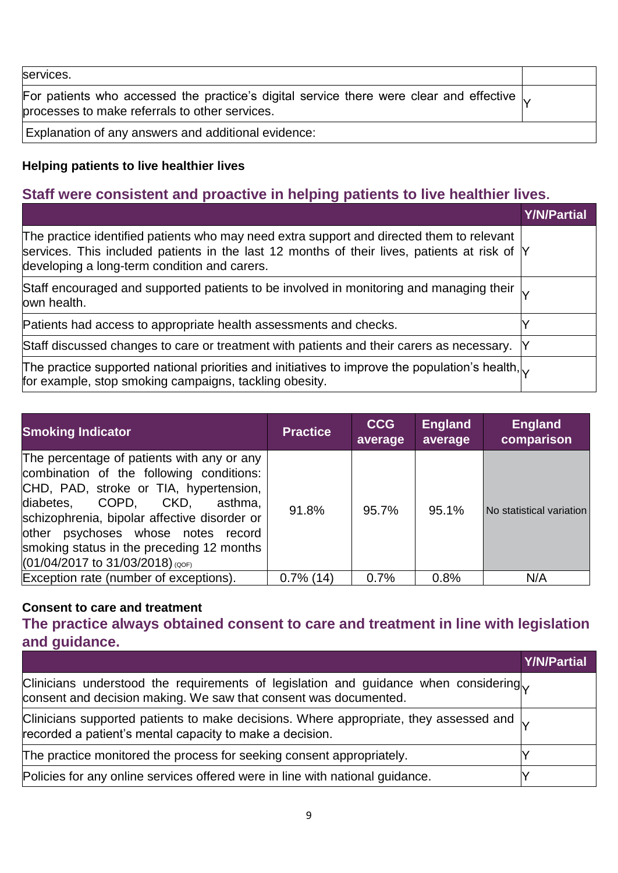| services.                                                                                                                                              |  |
|--------------------------------------------------------------------------------------------------------------------------------------------------------|--|
| For patients who accessed the practice's digital service there were clear and effective $\downarrow$<br>processes to make referrals to other services. |  |
| Explanation of any answers and additional evidence:                                                                                                    |  |

# **Helping patients to live healthier lives**

# **Staff were consistent and proactive in helping patients to live healthier lives.**

|                                                                                                                                                                                                                                           | Y/N/Partial |
|-------------------------------------------------------------------------------------------------------------------------------------------------------------------------------------------------------------------------------------------|-------------|
| The practice identified patients who may need extra support and directed them to relevant<br>services. This included patients in the last 12 months of their lives, patients at risk of Y<br>developing a long-term condition and carers. |             |
| Staff encouraged and supported patients to be involved in monitoring and managing their $\vert_{\mathsf{V}}$<br>own health.                                                                                                               |             |
| Patients had access to appropriate health assessments and checks.                                                                                                                                                                         |             |
| Staff discussed changes to care or treatment with patients and their carers as necessary.                                                                                                                                                 |             |
| The practice supported national priorities and initiatives to improve the population's health, $\sim$<br>for example, stop smoking campaigns, tackling obesity.                                                                           |             |

| <b>Smoking Indicator</b>                                                                                                                                                                                                                                                                                                                        | <b>Practice</b> | <b>CCG</b><br>average | <b>England</b><br>average | <b>England</b><br>comparison |
|-------------------------------------------------------------------------------------------------------------------------------------------------------------------------------------------------------------------------------------------------------------------------------------------------------------------------------------------------|-----------------|-----------------------|---------------------------|------------------------------|
| The percentage of patients with any or any<br>combination of the following conditions:<br>CHD, PAD, stroke or TIA, hypertension,<br>diabetes, COPD,<br>CKD.<br>asthma,<br>schizophrenia, bipolar affective disorder or<br>other psychoses whose notes record<br>smoking status in the preceding 12 months<br>$(01/04/2017$ to 31/03/2018) (QOF) | 91.8%           | 95.7%                 | 95.1%                     | No statistical variation     |
| Exception rate (number of exceptions).                                                                                                                                                                                                                                                                                                          | $0.7\%$ (14)    | 0.7%                  | 0.8%                      | N/A                          |

#### **Consent to care and treatment**

**The practice always obtained consent to care and treatment in line with legislation and guidance.**

|                                                                                                                                                                        | <b>Y/N/Partial</b> |
|------------------------------------------------------------------------------------------------------------------------------------------------------------------------|--------------------|
| Clinicians understood the requirements of legislation and guidance when considering<br>consent and decision making. We saw that consent was documented.                |                    |
| Clinicians supported patients to make decisions. Where appropriate, they assessed and $\vert_{\mathbf{V}}$<br>recorded a patient's mental capacity to make a decision. |                    |
| The practice monitored the process for seeking consent appropriately.                                                                                                  |                    |
| Policies for any online services offered were in line with national guidance.                                                                                          |                    |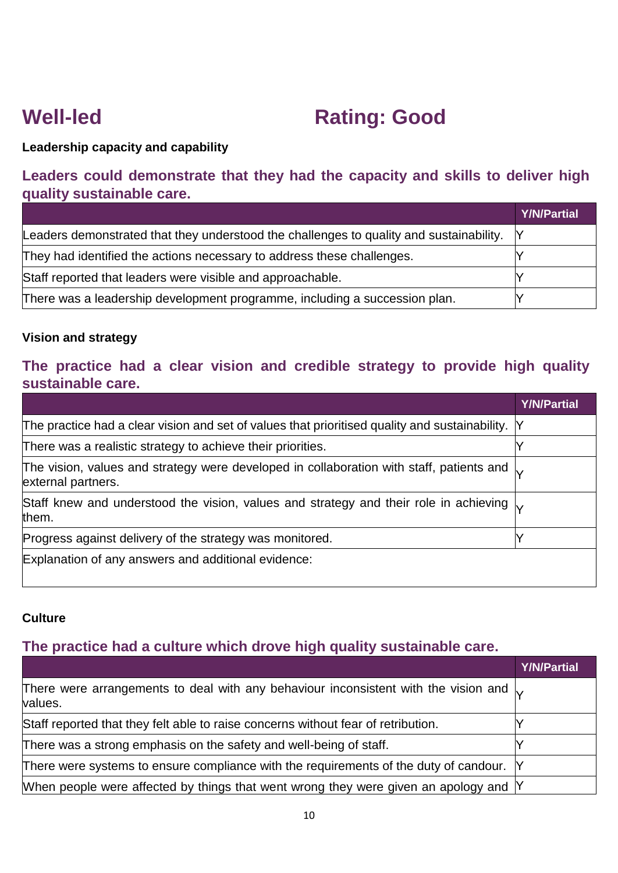# **Well-led Rating: Good**

# **Leadership capacity and capability**

# **Leaders could demonstrate that they had the capacity and skills to deliver high quality sustainable care.**

|                                                                                           | <b>Y/N/Partial</b> |
|-------------------------------------------------------------------------------------------|--------------------|
| Leaders demonstrated that they understood the challenges to quality and sustainability. Y |                    |
| They had identified the actions necessary to address these challenges.                    |                    |
| Staff reported that leaders were visible and approachable.                                |                    |
| There was a leadership development programme, including a succession plan.                |                    |

### **Vision and strategy**

# **The practice had a clear vision and credible strategy to provide high quality sustainable care.**

|                                                                                                                                     | <b>Y/N/Partial</b> |
|-------------------------------------------------------------------------------------------------------------------------------------|--------------------|
| The practice had a clear vision and set of values that prioritised quality and sustainability. Y                                    |                    |
| There was a realistic strategy to achieve their priorities.                                                                         |                    |
| The vision, values and strategy were developed in collaboration with staff, patients and $\vert_{\mathsf{V}}$<br>external partners. |                    |
| Staff knew and understood the vision, values and strategy and their role in achieving $\vert_{\mathsf{V}}$<br>them.                 |                    |
| Progress against delivery of the strategy was monitored.                                                                            |                    |
| Explanation of any answers and additional evidence:                                                                                 |                    |

#### **Culture**

# **The practice had a culture which drove high quality sustainable care.**

|                                                                                                                     | <b>Y/N/Partial</b> |
|---------------------------------------------------------------------------------------------------------------------|--------------------|
| There were arrangements to deal with any behaviour inconsistent with the vision and $\vert_{\mathbf{V}}$<br>values. |                    |
| Staff reported that they felt able to raise concerns without fear of retribution.                                   |                    |
| There was a strong emphasis on the safety and well-being of staff.                                                  |                    |
| There were systems to ensure compliance with the requirements of the duty of candour. Y                             |                    |
| When people were affected by things that went wrong they were given an apology and $\mathsf Y$                      |                    |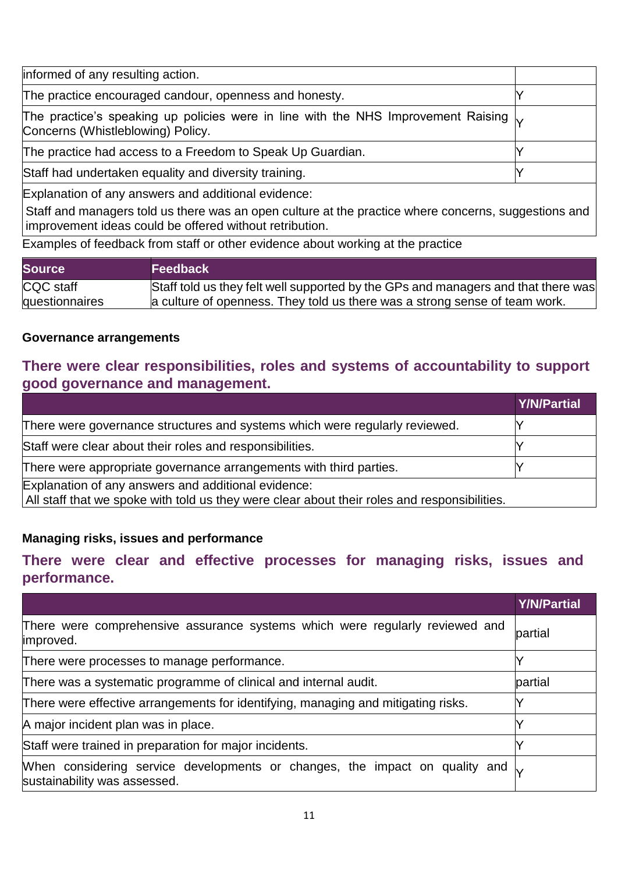| informed of any resulting action.                                                                                                                                                                                             |  |
|-------------------------------------------------------------------------------------------------------------------------------------------------------------------------------------------------------------------------------|--|
| The practice encouraged candour, openness and honesty.                                                                                                                                                                        |  |
| The practice's speaking up policies were in line with the NHS Improvement Raising $\downarrow$<br>Concerns (Whistleblowing) Policy.                                                                                           |  |
| The practice had access to a Freedom to Speak Up Guardian.                                                                                                                                                                    |  |
| Staff had undertaken equality and diversity training.                                                                                                                                                                         |  |
| HE STRAND CONTROL OF A CONTROL CONTROL OF A CHILD OF A CHILD CONTROL OF A CHILD OF A CHILD OF A CHILD OF A CHILD OF A CHILD OF A CHILD OF A CHILD OF A CHILD OF A CHILD OF A CHILD OF A CHILD OF A CHILD OF A CHILD OF A CHIL |  |

Explanation of any answers and additional evidence:

Staff and managers told us there was an open culture at the practice where concerns, suggestions and improvement ideas could be offered without retribution.

Examples of feedback from staff or other evidence about working at the practice

| <b>Source</b>  | <b>Feedback</b>                                                                   |
|----------------|-----------------------------------------------------------------------------------|
| CQC staff      | Staff told us they felt well supported by the GPs and managers and that there was |
| questionnaires | a culture of openness. They told us there was a strong sense of team work.        |

#### **Governance arrangements**

# **There were clear responsibilities, roles and systems of accountability to support good governance and management.**

|                                                                                                                                                     | Y/N/Partial |
|-----------------------------------------------------------------------------------------------------------------------------------------------------|-------------|
| There were governance structures and systems which were regularly reviewed.                                                                         |             |
| Staff were clear about their roles and responsibilities.                                                                                            |             |
| There were appropriate governance arrangements with third parties.                                                                                  |             |
| Explanation of any answers and additional evidence:<br>All staff that we spoke with told us they were clear about their roles and responsibilities. |             |

## **Managing risks, issues and performance**

## **There were clear and effective processes for managing risks, issues and performance.**

|                                                                                                                    | <b>Y/N/Partial</b> |
|--------------------------------------------------------------------------------------------------------------------|--------------------|
| There were comprehensive assurance systems which were regularly reviewed and<br>improved.                          | partial            |
| There were processes to manage performance.                                                                        |                    |
| There was a systematic programme of clinical and internal audit.                                                   | partial            |
| There were effective arrangements for identifying, managing and mitigating risks.                                  |                    |
| A major incident plan was in place.                                                                                |                    |
| Staff were trained in preparation for major incidents.                                                             |                    |
| When considering service developments or changes, the impact on quality and $\sim$<br>sustainability was assessed. |                    |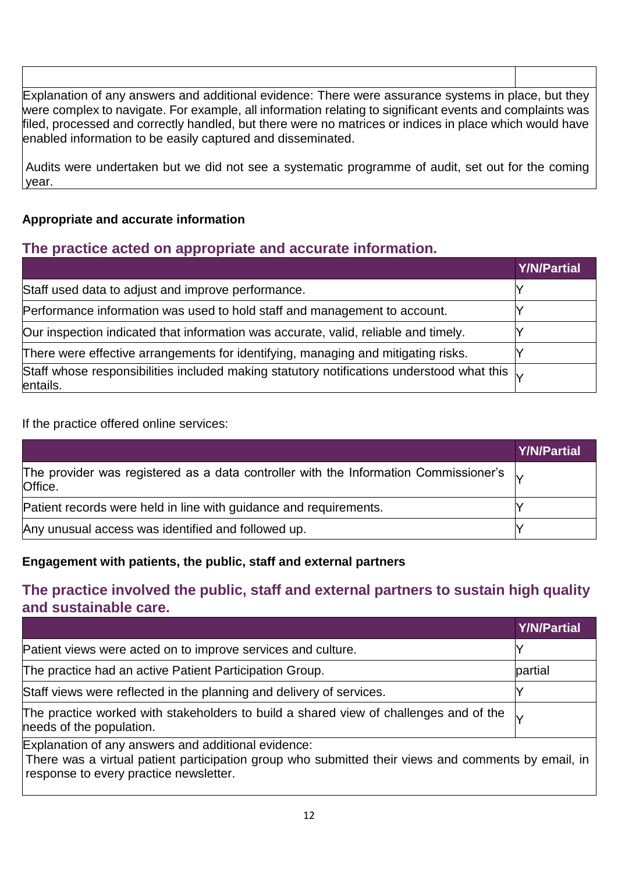Explanation of any answers and additional evidence: There were assurance systems in place, but they were complex to navigate. For example, all information relating to significant events and complaints was filed, processed and correctly handled, but there were no matrices or indices in place which would have enabled information to be easily captured and disseminated.

Audits were undertaken but we did not see a systematic programme of audit, set out for the coming year.

### **Appropriate and accurate information**

# **The practice acted on appropriate and accurate information.**

|                                                                                                                            | <b>Y/N/Partial</b> |
|----------------------------------------------------------------------------------------------------------------------------|--------------------|
| Staff used data to adjust and improve performance.                                                                         |                    |
| Performance information was used to hold staff and management to account.                                                  |                    |
| Our inspection indicated that information was accurate, valid, reliable and timely.                                        |                    |
| There were effective arrangements for identifying, managing and mitigating risks.                                          |                    |
| Staff whose responsibilities included making statutory notifications understood what this $\vert_{\mathsf{V}}$<br>entails. |                    |

If the practice offered online services:

|                                                                                                                       | Y/N/Partial |
|-----------------------------------------------------------------------------------------------------------------------|-------------|
| The provider was registered as a data controller with the Information Commissioner's $\vert_{\mathcal{V}}$<br>Office. |             |
| Patient records were held in line with guidance and requirements.                                                     |             |
| Any unusual access was identified and followed up.                                                                    |             |

#### **Engagement with patients, the public, staff and external partners**

# **The practice involved the public, staff and external partners to sustain high quality and sustainable care.**

|                                                                                                                                                                                                      | <b>Y/N/Partial</b> |
|------------------------------------------------------------------------------------------------------------------------------------------------------------------------------------------------------|--------------------|
| Patient views were acted on to improve services and culture.                                                                                                                                         |                    |
| The practice had an active Patient Participation Group.                                                                                                                                              | partial            |
| Staff views were reflected in the planning and delivery of services.                                                                                                                                 |                    |
| The practice worked with stakeholders to build a shared view of challenges and of the<br>needs of the population.                                                                                    |                    |
| Explanation of any answers and additional evidence:<br>There was a virtual patient participation group who submitted their views and comments by email, in<br>response to every practice newsletter. |                    |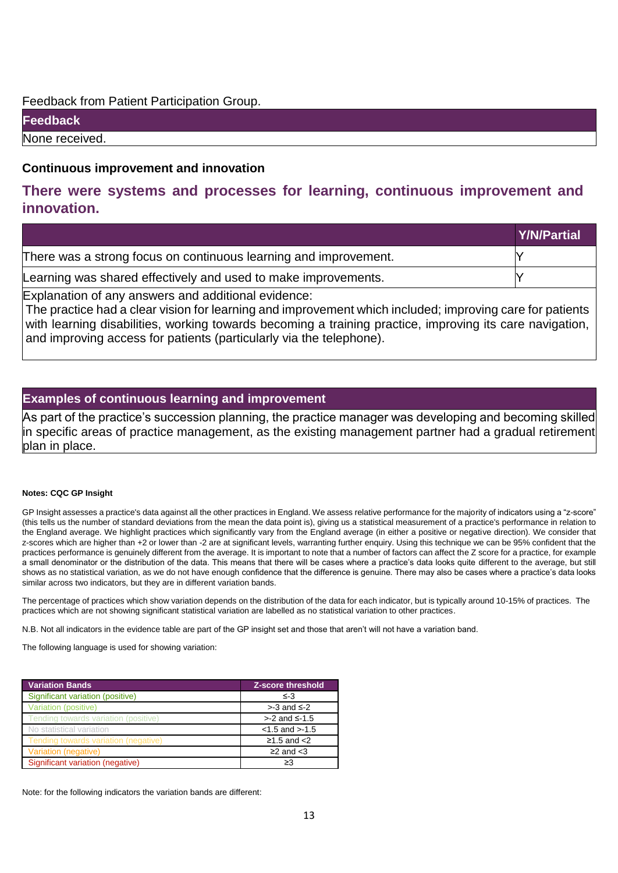#### Feedback from Patient Participation Group.

**Feedback**

None received.

#### **Continuous improvement and innovation**

## **There were systems and processes for learning, continuous improvement and innovation.**

|                                                                  | <b>Y/N/Partial</b> |
|------------------------------------------------------------------|--------------------|
| There was a strong focus on continuous learning and improvement. |                    |
| Learning was shared effectively and used to make improvements.   |                    |
| Explanation of any answers and additional evidence:              |                    |

The practice had a clear vision for learning and improvement which included; improving care for patients with learning disabilities, working towards becoming a training practice, improving its care navigation, and improving access for patients (particularly via the telephone).

#### **Examples of continuous learning and improvement**

As part of the practice's succession planning, the practice manager was developing and becoming skilled in specific areas of practice management, as the existing management partner had a gradual retirement plan in place.

#### **Notes: CQC GP Insight**

GP Insight assesses a practice's data against all the other practices in England. We assess relative performance for the majority of indicators using a "z-score" (this tells us the number of standard deviations from the mean the data point is), giving us a statistical measurement of a practice's performance in relation to the England average. We highlight practices which significantly vary from the England average (in either a positive or negative direction). We consider that z-scores which are higher than +2 or lower than -2 are at significant levels, warranting further enquiry. Using this technique we can be 95% confident that the practices performance is genuinely different from the average. It is important to note that a number of factors can affect the Z score for a practice, for example a small denominator or the distribution of the data. This means that there will be cases where a practice's data looks quite different to the average, but still shows as no statistical variation, as we do not have enough confidence that the difference is genuine. There may also be cases where a practice's data looks similar across two indicators, but they are in different variation bands.

The percentage of practices which show variation depends on the distribution of the data for each indicator, but is typically around 10-15% of practices. The practices which are not showing significant statistical variation are labelled as no statistical variation to other practices.

N.B. Not all indicators in the evidence table are part of the GP insight set and those that aren't will not have a variation band.

The following language is used for showing variation:

| <b>Variation Bands</b>               | <b>Z-score threshold</b> |
|--------------------------------------|--------------------------|
| Significant variation (positive)     | ≲-3                      |
| Variation (positive)                 | $>3$ and $\leq 2$        |
| Tending towards variation (positive) | > -2 and ≤ -1.5          |
| No statistical variation             | $< 1.5$ and $> -1.5$     |
| Tending towards variation (negative) | $≥1.5$ and $<$ 2         |
| Variation (negative)                 | $\geq$ 2 and $\lt$ 3     |
| Significant variation (negative)     | ≥3                       |

Note: for the following indicators the variation bands are different: